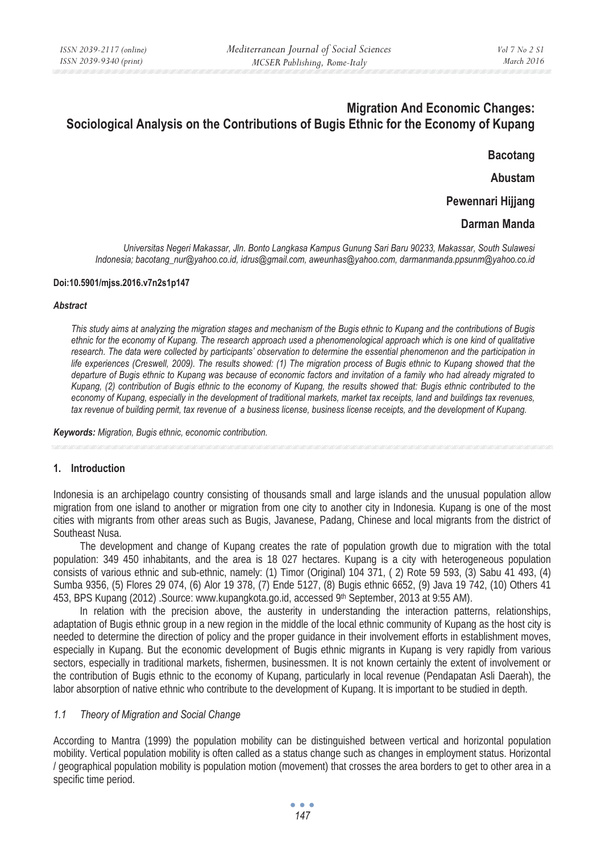# **Migration And Economic Changes: Sociological Analysis on the Contributions of Bugis Ethnic for the Economy of Kupang**

**Bacotang** 

**Abustam** 

**Pewennari Hijjang** 

# **Darman Manda**

*Universitas Negeri Makassar, Jln. Bonto Langkasa Kampus Gunung Sari Baru 90233, Makassar, South Sulawesi Indonesia; bacotang\_nur@yahoo.co.id, idrus@gmail.com, aweunhas@yahoo.com, darmanmanda.ppsunm@yahoo.co.id* 

#### **Doi:10.5901/mjss.2016.v7n2s1p147**

# *Abstract*

*This study aims at analyzing the migration stages and mechanism of the Bugis ethnic to Kupang and the contributions of Bugis ethnic for the economy of Kupang. The research approach used a phenomenological approach which is one kind of qualitative*  research. The data were collected by participants' observation to determine the essential phenomenon and the participation in *life experiences (Creswell, 2009). The results showed: (1) The migration process of Bugis ethnic to Kupang showed that the departure of Bugis ethnic to Kupang was because of economic factors and invitation of a family who had already migrated to Kupang, (2) contribution of Bugis ethnic to the economy of Kupang, the results showed that: Bugis ethnic contributed to the economy of Kupang, especially in the development of traditional markets, market tax receipts, land and buildings tax revenues, tax revenue of building permit, tax revenue of a business license, business license receipts, and the development of Kupang.* 

*Keywords: Migration, Bugis ethnic, economic contribution.*

## **1. Introduction**

Indonesia is an archipelago country consisting of thousands small and large islands and the unusual population allow migration from one island to another or migration from one city to another city in Indonesia. Kupang is one of the most cities with migrants from other areas such as Bugis, Javanese, Padang, Chinese and local migrants from the district of Southeast Nusa.

The development and change of Kupang creates the rate of population growth due to migration with the total population: 349 450 inhabitants, and the area is 18 027 hectares. Kupang is a city with heterogeneous population consists of various ethnic and sub-ethnic, namely: (1) Timor (Original) 104 371, ( 2) Rote 59 593, (3) Sabu 41 493, (4) Sumba 9356, (5) Flores 29 074, (6) Alor 19 378, (7) Ende 5127, (8) Bugis ethnic 6652, (9) Java 19 742, (10) Others 41 453, BPS Kupang (2012) .Source: www.kupangkota.go.id, accessed 9th September, 2013 at 9:55 AM).

In relation with the precision above, the austerity in understanding the interaction patterns, relationships, adaptation of Bugis ethnic group in a new region in the middle of the local ethnic community of Kupang as the host city is needed to determine the direction of policy and the proper guidance in their involvement efforts in establishment moves, especially in Kupang. But the economic development of Bugis ethnic migrants in Kupang is very rapidly from various sectors, especially in traditional markets, fishermen, businessmen. It is not known certainly the extent of involvement or the contribution of Bugis ethnic to the economy of Kupang, particularly in local revenue (Pendapatan Asli Daerah), the labor absorption of native ethnic who contribute to the development of Kupang. It is important to be studied in depth.

## *1.1 Theory of Migration and Social Change*

According to Mantra (1999) the population mobility can be distinguished between vertical and horizontal population mobility. Vertical population mobility is often called as a status change such as changes in employment status. Horizontal / geographical population mobility is population motion (movement) that crosses the area borders to get to other area in a specific time period.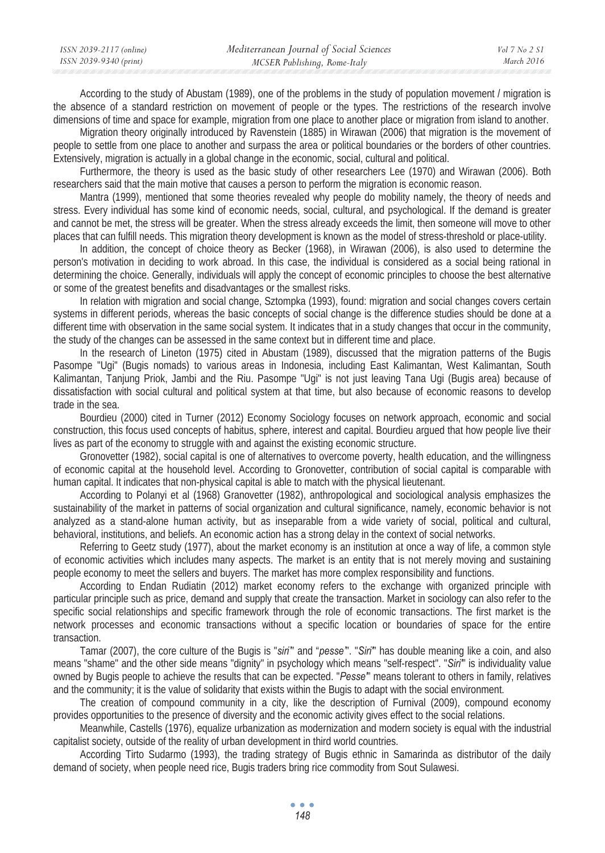| ISSN 2039-2117 (online) | Mediterranean Journal of Social Sciences | Vol 7 No 2 SI |
|-------------------------|------------------------------------------|---------------|
| ISSN 2039-9340 (print)  | MCSER Publishing, Rome-Italy             | March 2016    |

According to the study of Abustam (1989), one of the problems in the study of population movement / migration is the absence of a standard restriction on movement of people or the types. The restrictions of the research involve dimensions of time and space for example, migration from one place to another place or migration from island to another.

Migration theory originally introduced by Ravenstein (1885) in Wirawan (2006) that migration is the movement of people to settle from one place to another and surpass the area or political boundaries or the borders of other countries. Extensively, migration is actually in a global change in the economic, social, cultural and political.

Furthermore, the theory is used as the basic study of other researchers Lee (1970) and Wirawan (2006). Both researchers said that the main motive that causes a person to perform the migration is economic reason.

Mantra (1999), mentioned that some theories revealed why people do mobility namely, the theory of needs and stress. Every individual has some kind of economic needs, social, cultural, and psychological. If the demand is greater and cannot be met, the stress will be greater. When the stress already exceeds the limit, then someone will move to other places that can fulfill needs. This migration theory development is known as the model of stress-threshold or place-utility.

In addition, the concept of choice theory as Becker (1968), in Wirawan (2006), is also used to determine the person's motivation in deciding to work abroad. In this case, the individual is considered as a social being rational in determining the choice. Generally, individuals will apply the concept of economic principles to choose the best alternative or some of the greatest benefits and disadvantages or the smallest risks.

In relation with migration and social change, Sztompka (1993), found: migration and social changes covers certain systems in different periods, whereas the basic concepts of social change is the difference studies should be done at a different time with observation in the same social system. It indicates that in a study changes that occur in the community, the study of the changes can be assessed in the same context but in different time and place.

In the research of Lineton (1975) cited in Abustam (1989), discussed that the migration patterns of the Bugis Pasompe "Ugi" (Bugis nomads) to various areas in Indonesia, including East Kalimantan, West Kalimantan, South Kalimantan, Tanjung Priok, Jambi and the Riu. Pasompe "Ugi" is not just leaving Tana Ugi (Bugis area) because of dissatisfaction with social cultural and political system at that time, but also because of economic reasons to develop trade in the sea.

Bourdieu (2000) cited in Turner (2012) Economy Sociology focuses on network approach, economic and social construction, this focus used concepts of habitus, sphere, interest and capital. Bourdieu argued that how people live their lives as part of the economy to struggle with and against the existing economic structure.

Gronovetter (1982), social capital is one of alternatives to overcome poverty, health education, and the willingness of economic capital at the household level. According to Gronovetter, contribution of social capital is comparable with human capital. It indicates that non-physical capital is able to match with the physical lieutenant.

According to Polanyi et al (1968) Granovetter (1982), anthropological and sociological analysis emphasizes the sustainability of the market in patterns of social organization and cultural significance, namely, economic behavior is not analyzed as a stand-alone human activity, but as inseparable from a wide variety of social, political and cultural, behavioral, institutions, and beliefs. An economic action has a strong delay in the context of social networks.

Referring to Geetz study (1977), about the market economy is an institution at once a way of life, a common style of economic activities which includes many aspects. The market is an entity that is not merely moving and sustaining people economy to meet the sellers and buyers. The market has more complex responsibility and functions.

According to Endan Rudiatin (2012) market economy refers to the exchange with organized principle with particular principle such as price, demand and supply that create the transaction. Market in sociology can also refer to the specific social relationships and specific framework through the role of economic transactions. The first market is the network processes and economic transactions without a specific location or boundaries of space for the entire transaction.

Tamar (2007), the core culture of the Bugis is "*siri'*" and "*pesse'*". "*Siri'*" has double meaning like a coin, and also means "shame" and the other side means "dignity" in psychology which means "self-respect". "*Siri'*" is individuality value owned by Bugis people to achieve the results that can be expected. "*Pesse'*" means tolerant to others in family, relatives and the community; it is the value of solidarity that exists within the Bugis to adapt with the social environment.

The creation of compound community in a city, like the description of Furnival (2009), compound economy provides opportunities to the presence of diversity and the economic activity gives effect to the social relations.

Meanwhile, Castells (1976), equalize urbanization as modernization and modern society is equal with the industrial capitalist society, outside of the reality of urban development in third world countries.

According Tirto Sudarmo (1993), the trading strategy of Bugis ethnic in Samarinda as distributor of the daily demand of society, when people need rice, Bugis traders bring rice commodity from Sout Sulawesi.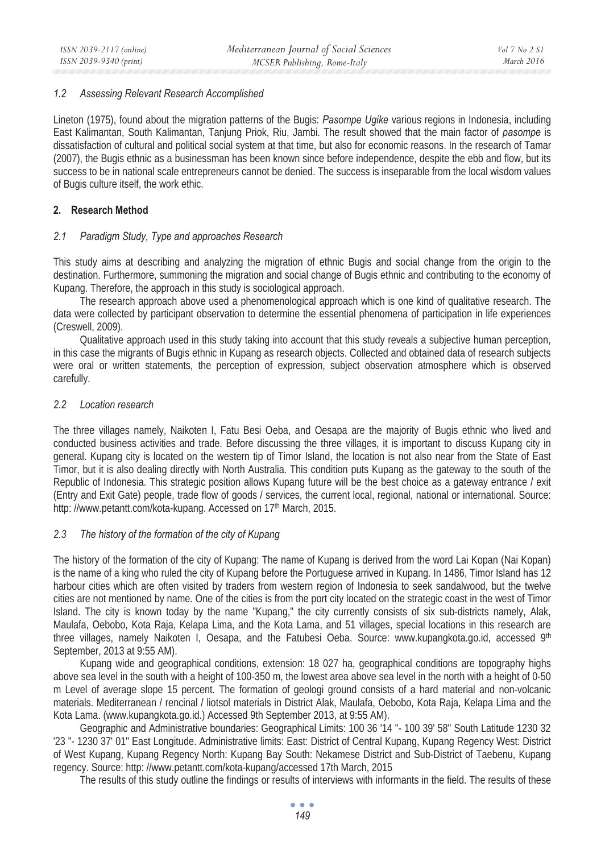## *1.2 Assessing Relevant Research Accomplished*

Lineton (1975), found about the migration patterns of the Bugis: *Pasompe Ugike* various regions in Indonesia, including East Kalimantan, South Kalimantan, Tanjung Priok, Riu, Jambi. The result showed that the main factor of *pasompe* is dissatisfaction of cultural and political social system at that time, but also for economic reasons. In the research of Tamar (2007), the Bugis ethnic as a businessman has been known since before independence, despite the ebb and flow, but its success to be in national scale entrepreneurs cannot be denied. The success is inseparable from the local wisdom values of Bugis culture itself, the work ethic.

# **2. Research Method**

## *2.1 Paradigm Study, Type and approaches Research*

This study aims at describing and analyzing the migration of ethnic Bugis and social change from the origin to the destination. Furthermore, summoning the migration and social change of Bugis ethnic and contributing to the economy of Kupang. Therefore, the approach in this study is sociological approach.

The research approach above used a phenomenological approach which is one kind of qualitative research. The data were collected by participant observation to determine the essential phenomena of participation in life experiences (Creswell, 2009).

Qualitative approach used in this study taking into account that this study reveals a subjective human perception, in this case the migrants of Bugis ethnic in Kupang as research objects. Collected and obtained data of research subjects were oral or written statements, the perception of expression, subject observation atmosphere which is observed carefully.

## *2.2 Location research*

The three villages namely, Naikoten I, Fatu Besi Oeba, and Oesapa are the majority of Bugis ethnic who lived and conducted business activities and trade. Before discussing the three villages, it is important to discuss Kupang city in general. Kupang city is located on the western tip of Timor Island, the location is not also near from the State of East Timor, but it is also dealing directly with North Australia. This condition puts Kupang as the gateway to the south of the Republic of Indonesia. This strategic position allows Kupang future will be the best choice as a gateway entrance / exit (Entry and Exit Gate) people, trade flow of goods / services, the current local, regional, national or international. Source: http: //www.petantt.com/kota-kupang. Accessed on 17<sup>th</sup> March, 2015.

# *2.3 The history of the formation of the city of Kupang*

The history of the formation of the city of Kupang: The name of Kupang is derived from the word Lai Kopan (Nai Kopan) is the name of a king who ruled the city of Kupang before the Portuguese arrived in Kupang. In 1486, Timor Island has 12 harbour cities which are often visited by traders from western region of Indonesia to seek sandalwood, but the twelve cities are not mentioned by name. One of the cities is from the port city located on the strategic coast in the west of Timor Island. The city is known today by the name "Kupang," the city currently consists of six sub-districts namely, Alak, Maulafa, Oebobo, Kota Raja, Kelapa Lima, and the Kota Lama, and 51 villages, special locations in this research are three villages, namely Naikoten I, Oesapa, and the Fatubesi Oeba. Source: www.kupangkota.go.id, accessed 9<sup>th</sup> September, 2013 at 9:55 AM).

Kupang wide and geographical conditions, extension: 18 027 ha, geographical conditions are topography highs above sea level in the south with a height of 100-350 m, the lowest area above sea level in the north with a height of 0-50 m Level of average slope 15 percent. The formation of geologi ground consists of a hard material and non-volcanic materials. Mediterranean / rencinal / liotsol materials in District Alak, Maulafa, Oebobo, Kota Raja, Kelapa Lima and the Kota Lama. (www.kupangkota.go.id.) Accessed 9th September 2013, at 9:55 AM).

Geographic and Administrative boundaries: Geographical Limits: 100 36 '14 "- 100 39' 58" South Latitude 1230 32 '23 "- 1230 37' 01" East Longitude. Administrative limits: East: District of Central Kupang, Kupang Regency West: District of West Kupang, Kupang Regency North: Kupang Bay South: Nekamese District and Sub-District of Taebenu, Kupang regency. Source: http: //www.petantt.com/kota-kupang/accessed 17th March, 2015

The results of this study outline the findings or results of interviews with informants in the field. The results of these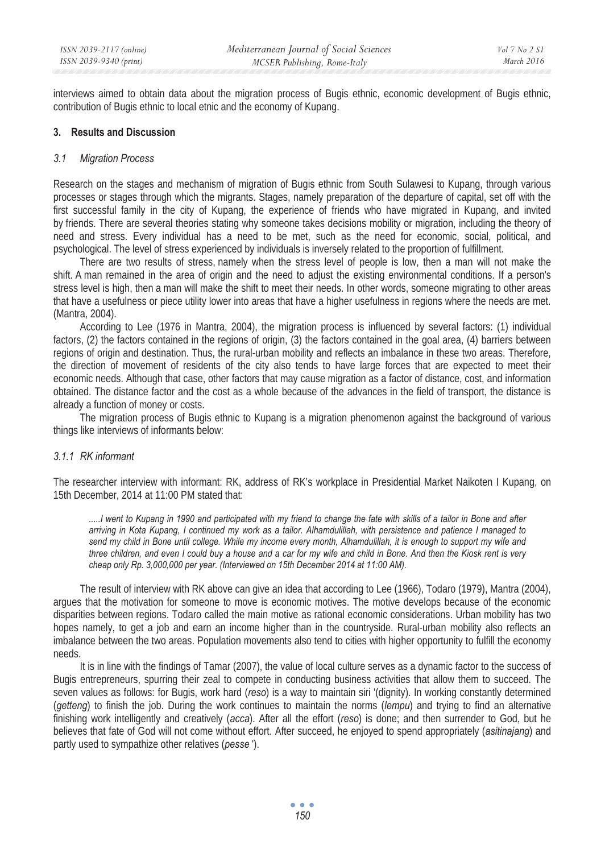interviews aimed to obtain data about the migration process of Bugis ethnic, economic development of Bugis ethnic, contribution of Bugis ethnic to local etnic and the economy of Kupang.

## **3. Results and Discussion**

#### *3.1 Migration Process*

Research on the stages and mechanism of migration of Bugis ethnic from South Sulawesi to Kupang, through various processes or stages through which the migrants. Stages, namely preparation of the departure of capital, set off with the first successful family in the city of Kupang, the experience of friends who have migrated in Kupang, and invited by friends. There are several theories stating why someone takes decisions mobility or migration, including the theory of need and stress. Every individual has a need to be met, such as the need for economic, social, political, and psychological. The level of stress experienced by individuals is inversely related to the proportion of fulfillment.

There are two results of stress, namely when the stress level of people is low, then a man will not make the shift. A man remained in the area of origin and the need to adjust the existing environmental conditions. If a person's stress level is high, then a man will make the shift to meet their needs. In other words, someone migrating to other areas that have a usefulness or piece utility lower into areas that have a higher usefulness in regions where the needs are met. (Mantra, 2004).

According to Lee (1976 in Mantra, 2004), the migration process is influenced by several factors: (1) individual factors, (2) the factors contained in the regions of origin, (3) the factors contained in the goal area, (4) barriers between regions of origin and destination. Thus, the rural-urban mobility and reflects an imbalance in these two areas. Therefore, the direction of movement of residents of the city also tends to have large forces that are expected to meet their economic needs. Although that case, other factors that may cause migration as a factor of distance, cost, and information obtained. The distance factor and the cost as a whole because of the advances in the field of transport, the distance is already a function of money or costs.

The migration process of Bugis ethnic to Kupang is a migration phenomenon against the background of various things like interviews of informants below:

## *3.1.1 RK informant*

The researcher interview with informant: RK, address of RK's workplace in Presidential Market Naikoten I Kupang, on 15th December, 2014 at 11:00 PM stated that:

*.....I went to Kupang in 1990 and participated with my friend to change the fate with skills of a tailor in Bone and after arriving in Kota Kupang, I continued my work as a tailor. Alhamdulillah, with persistence and patience I managed to send my child in Bone until college. While my income every month, Alhamdulillah, it is enough to support my wife and three children, and even I could buy a house and a car for my wife and child in Bone. And then the Kiosk rent is very cheap only Rp. 3,000,000 per year. (Interviewed on 15th December 2014 at 11:00 AM).* 

The result of interview with RK above can give an idea that according to Lee (1966), Todaro (1979), Mantra (2004), argues that the motivation for someone to move is economic motives. The motive develops because of the economic disparities between regions. Todaro called the main motive as rational economic considerations. Urban mobility has two hopes namely, to get a job and earn an income higher than in the countryside. Rural-urban mobility also reflects an imbalance between the two areas. Population movements also tend to cities with higher opportunity to fulfill the economy needs.

It is in line with the findings of Tamar (2007), the value of local culture serves as a dynamic factor to the success of Bugis entrepreneurs, spurring their zeal to compete in conducting business activities that allow them to succeed. The seven values as follows: for Bugis, work hard (*reso*) is a way to maintain siri '(dignity). In working constantly determined (*getteng*) to finish the job. During the work continues to maintain the norms (*lempu*) and trying to find an alternative finishing work intelligently and creatively (*acca*). After all the effort (*reso*) is done; and then surrender to God, but he believes that fate of God will not come without effort. After succeed, he enjoyed to spend appropriately (*asitinajang*) and partly used to sympathize other relatives (*pesse* ').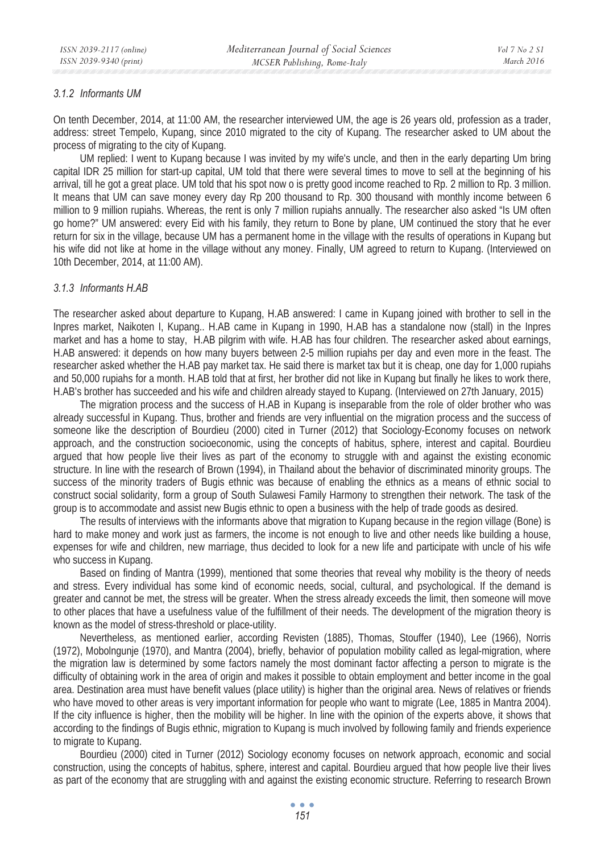#### *3.1.2 Informants UM*

On tenth December, 2014, at 11:00 AM, the researcher interviewed UM, the age is 26 years old, profession as a trader, address: street Tempelo, Kupang, since 2010 migrated to the city of Kupang. The researcher asked to UM about the process of migrating to the city of Kupang.

UM replied: I went to Kupang because I was invited by my wife's uncle, and then in the early departing Um bring capital IDR 25 million for start-up capital, UM told that there were several times to move to sell at the beginning of his arrival, till he got a great place. UM told that his spot now o is pretty good income reached to Rp. 2 million to Rp. 3 million. It means that UM can save money every day Rp 200 thousand to Rp. 300 thousand with monthly income between 6 million to 9 million rupiahs. Whereas, the rent is only 7 million rupiahs annually. The researcher also asked "Is UM often go home?" UM answered: every Eid with his family, they return to Bone by plane, UM continued the story that he ever return for six in the village, because UM has a permanent home in the village with the results of operations in Kupang but his wife did not like at home in the village without any money. Finally, UM agreed to return to Kupang. (Interviewed on 10th December, 2014, at 11:00 AM).

## *3.1.3 Informants H.AB*

The researcher asked about departure to Kupang, H.AB answered: I came in Kupang joined with brother to sell in the Inpres market, Naikoten I, Kupang.. H.AB came in Kupang in 1990, H.AB has a standalone now (stall) in the Inpres market and has a home to stay, H.AB pilgrim with wife. H.AB has four children. The researcher asked about earnings, H.AB answered: it depends on how many buyers between 2-5 million rupiahs per day and even more in the feast. The researcher asked whether the H.AB pay market tax. He said there is market tax but it is cheap, one day for 1,000 rupiahs and 50,000 rupiahs for a month. H.AB told that at first, her brother did not like in Kupang but finally he likes to work there, H.AB's brother has succeeded and his wife and children already stayed to Kupang. (Interviewed on 27th January, 2015)

The migration process and the success of H.AB in Kupang is inseparable from the role of older brother who was already successful in Kupang. Thus, brother and friends are very influential on the migration process and the success of someone like the description of Bourdieu (2000) cited in Turner (2012) that Sociology-Economy focuses on network approach, and the construction socioeconomic, using the concepts of habitus, sphere, interest and capital. Bourdieu argued that how people live their lives as part of the economy to struggle with and against the existing economic structure. In line with the research of Brown (1994), in Thailand about the behavior of discriminated minority groups. The success of the minority traders of Bugis ethnic was because of enabling the ethnics as a means of ethnic social to construct social solidarity, form a group of South Sulawesi Family Harmony to strengthen their network. The task of the group is to accommodate and assist new Bugis ethnic to open a business with the help of trade goods as desired.

The results of interviews with the informants above that migration to Kupang because in the region village (Bone) is hard to make money and work just as farmers, the income is not enough to live and other needs like building a house, expenses for wife and children, new marriage, thus decided to look for a new life and participate with uncle of his wife who success in Kupang.

Based on finding of Mantra (1999), mentioned that some theories that reveal why mobility is the theory of needs and stress. Every individual has some kind of economic needs, social, cultural, and psychological. If the demand is greater and cannot be met, the stress will be greater. When the stress already exceeds the limit, then someone will move to other places that have a usefulness value of the fulfillment of their needs. The development of the migration theory is known as the model of stress-threshold or place-utility.

Nevertheless, as mentioned earlier, according Revisten (1885), Thomas, Stouffer (1940), Lee (1966), Norris (1972), Mobolngunje (1970), and Mantra (2004), briefly, behavior of population mobility called as legal-migration, where the migration law is determined by some factors namely the most dominant factor affecting a person to migrate is the difficulty of obtaining work in the area of origin and makes it possible to obtain employment and better income in the goal area. Destination area must have benefit values (place utility) is higher than the original area. News of relatives or friends who have moved to other areas is very important information for people who want to migrate (Lee, 1885 in Mantra 2004). If the city influence is higher, then the mobility will be higher. In line with the opinion of the experts above, it shows that according to the findings of Bugis ethnic, migration to Kupang is much involved by following family and friends experience to migrate to Kupang.

Bourdieu (2000) cited in Turner (2012) Sociology economy focuses on network approach, economic and social construction, using the concepts of habitus, sphere, interest and capital. Bourdieu argued that how people live their lives as part of the economy that are struggling with and against the existing economic structure. Referring to research Brown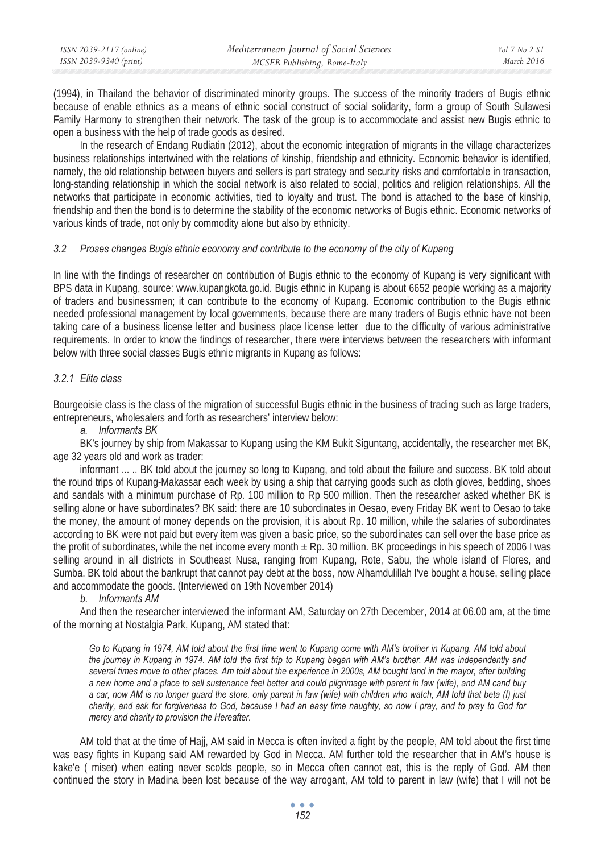| ISSN 2039-2117 (online) | Mediterranean Journal of Social Sciences | Vol 7 No 2 S1 |
|-------------------------|------------------------------------------|---------------|
| ISSN 2039-9340 (print)  | MCSER Publishing, Rome-Italy             | March 2016    |

(1994), in Thailand the behavior of discriminated minority groups. The success of the minority traders of Bugis ethnic because of enable ethnics as a means of ethnic social construct of social solidarity, form a group of South Sulawesi Family Harmony to strengthen their network. The task of the group is to accommodate and assist new Bugis ethnic to open a business with the help of trade goods as desired.

In the research of Endang Rudiatin (2012), about the economic integration of migrants in the village characterizes business relationships intertwined with the relations of kinship, friendship and ethnicity. Economic behavior is identified, namely, the old relationship between buyers and sellers is part strategy and security risks and comfortable in transaction, long-standing relationship in which the social network is also related to social, politics and religion relationships. All the networks that participate in economic activities, tied to loyalty and trust. The bond is attached to the base of kinship, friendship and then the bond is to determine the stability of the economic networks of Bugis ethnic. Economic networks of various kinds of trade, not only by commodity alone but also by ethnicity.

#### *3.2 Proses changes Bugis ethnic economy and contribute to the economy of the city of Kupang*

In line with the findings of researcher on contribution of Bugis ethnic to the economy of Kupang is very significant with BPS data in Kupang, source: www.kupangkota.go.id. Bugis ethnic in Kupang is about 6652 people working as a majority of traders and businessmen; it can contribute to the economy of Kupang. Economic contribution to the Bugis ethnic needed professional management by local governments, because there are many traders of Bugis ethnic have not been taking care of a business license letter and business place license letter due to the difficulty of various administrative requirements. In order to know the findings of researcher, there were interviews between the researchers with informant below with three social classes Bugis ethnic migrants in Kupang as follows:

## *3.2.1 Elite class*

Bourgeoisie class is the class of the migration of successful Bugis ethnic in the business of trading such as large traders, entrepreneurs, wholesalers and forth as researchers' interview below:

## *a. Informants BK*

BK's journey by ship from Makassar to Kupang using the KM Bukit Siguntang, accidentally, the researcher met BK, age 32 years old and work as trader:

informant ... .. BK told about the journey so long to Kupang, and told about the failure and success. BK told about the round trips of Kupang-Makassar each week by using a ship that carrying goods such as cloth gloves, bedding, shoes and sandals with a minimum purchase of Rp. 100 million to Rp 500 million. Then the researcher asked whether BK is selling alone or have subordinates? BK said: there are 10 subordinates in Oesao, every Friday BK went to Oesao to take the money, the amount of money depends on the provision, it is about Rp. 10 million, while the salaries of subordinates according to BK were not paid but every item was given a basic price, so the subordinates can sell over the base price as the profit of subordinates, while the net income every month  $\pm$  Rp. 30 million. BK proceedings in his speech of 2006 I was selling around in all districts in Southeast Nusa, ranging from Kupang, Rote, Sabu, the whole island of Flores, and Sumba. BK told about the bankrupt that cannot pay debt at the boss, now Alhamdulillah I've bought a house, selling place and accommodate the goods. (Interviewed on 19th November 2014)

## *b. Informants AM*

And then the researcher interviewed the informant AM, Saturday on 27th December, 2014 at 06.00 am, at the time of the morning at Nostalgia Park, Kupang, AM stated that:

*Go to Kupang in 1974, AM told about the first time went to Kupang come with AM's brother in Kupang. AM told about the journey in Kupang in 1974. AM told the first trip to Kupang began with AM's brother. AM was independently and several times move to other places. Am told about the experience in 2000s, AM bought land in the mayor, after building a new home and a place to sell sustenance feel better and could pilgrimage with parent in law (wife), and AM cand buy a car, now AM is no longer guard the store, only parent in law (wife) with children who watch, AM told that beta (I) just charity, and ask for forgiveness to God, because I had an easy time naughty, so now I pray, and to pray to God for mercy and charity to provision the Hereafter.* 

AM told that at the time of Hajj, AM said in Mecca is often invited a fight by the people, AM told about the first time was easy fights in Kupang said AM rewarded by God in Mecca. AM further told the researcher that in AM's house is kake'e ( miser) when eating never scolds people, so in Mecca often cannot eat, this is the reply of God. AM then continued the story in Madina been lost because of the way arrogant, AM told to parent in law (wife) that I will not be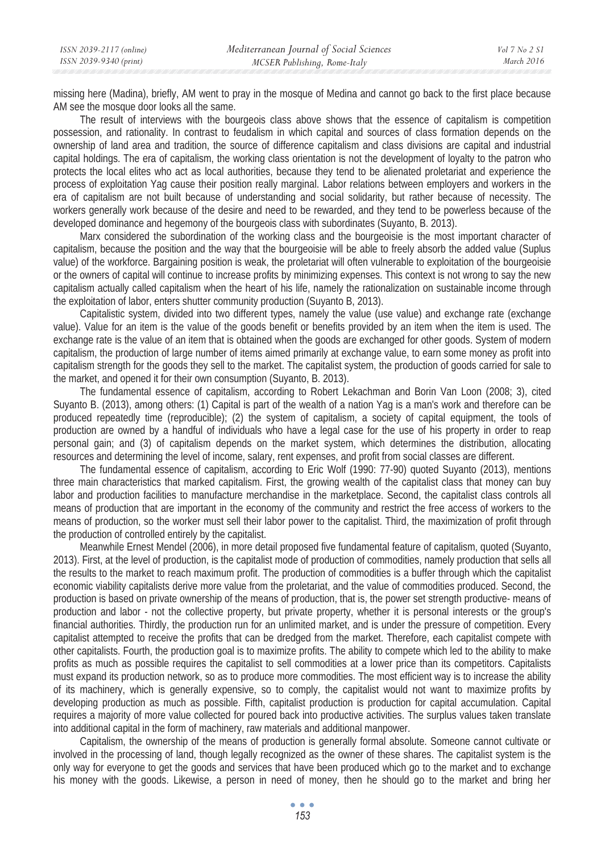missing here (Madina), briefly, AM went to pray in the mosque of Medina and cannot go back to the first place because AM see the mosque door looks all the same.

The result of interviews with the bourgeois class above shows that the essence of capitalism is competition possession, and rationality. In contrast to feudalism in which capital and sources of class formation depends on the ownership of land area and tradition, the source of difference capitalism and class divisions are capital and industrial capital holdings. The era of capitalism, the working class orientation is not the development of loyalty to the patron who protects the local elites who act as local authorities, because they tend to be alienated proletariat and experience the process of exploitation Yag cause their position really marginal. Labor relations between employers and workers in the era of capitalism are not built because of understanding and social solidarity, but rather because of necessity. The workers generally work because of the desire and need to be rewarded, and they tend to be powerless because of the developed dominance and hegemony of the bourgeois class with subordinates (Suyanto, B. 2013).

Marx considered the subordination of the working class and the bourgeoisie is the most important character of capitalism, because the position and the way that the bourgeoisie will be able to freely absorb the added value (Suplus value) of the workforce. Bargaining position is weak, the proletariat will often vulnerable to exploitation of the bourgeoisie or the owners of capital will continue to increase profits by minimizing expenses. This context is not wrong to say the new capitalism actually called capitalism when the heart of his life, namely the rationalization on sustainable income through the exploitation of labor, enters shutter community production (Suyanto B, 2013).

Capitalistic system, divided into two different types, namely the value (use value) and exchange rate (exchange value). Value for an item is the value of the goods benefit or benefits provided by an item when the item is used. The exchange rate is the value of an item that is obtained when the goods are exchanged for other goods. System of modern capitalism, the production of large number of items aimed primarily at exchange value, to earn some money as profit into capitalism strength for the goods they sell to the market. The capitalist system, the production of goods carried for sale to the market, and opened it for their own consumption (Suyanto, B. 2013).

The fundamental essence of capitalism, according to Robert Lekachman and Borin Van Loon (2008; 3), cited Suyanto B. (2013), among others: (1) Capital is part of the wealth of a nation Yag is a man's work and therefore can be produced repeatedly time (reproducible); (2) the system of capitalism, a society of capital equipment, the tools of production are owned by a handful of individuals who have a legal case for the use of his property in order to reap personal gain; and (3) of capitalism depends on the market system, which determines the distribution, allocating resources and determining the level of income, salary, rent expenses, and profit from social classes are different.

The fundamental essence of capitalism, according to Eric Wolf (1990: 77-90) quoted Suyanto (2013), mentions three main characteristics that marked capitalism. First, the growing wealth of the capitalist class that money can buy labor and production facilities to manufacture merchandise in the marketplace. Second, the capitalist class controls all means of production that are important in the economy of the community and restrict the free access of workers to the means of production, so the worker must sell their labor power to the capitalist. Third, the maximization of profit through the production of controlled entirely by the capitalist.

Meanwhile Ernest Mendel (2006), in more detail proposed five fundamental feature of capitalism, quoted (Suyanto, 2013). First, at the level of production, is the capitalist mode of production of commodities, namely production that sells all the results to the market to reach maximum profit. The production of commodities is a buffer through which the capitalist economic viability capitalists derive more value from the proletariat, and the value of commodities produced. Second, the production is based on private ownership of the means of production, that is, the power set strength productive- means of production and labor - not the collective property, but private property, whether it is personal interests or the group's financial authorities. Thirdly, the production run for an unlimited market, and is under the pressure of competition. Every capitalist attempted to receive the profits that can be dredged from the market. Therefore, each capitalist compete with other capitalists. Fourth, the production goal is to maximize profits. The ability to compete which led to the ability to make profits as much as possible requires the capitalist to sell commodities at a lower price than its competitors. Capitalists must expand its production network, so as to produce more commodities. The most efficient way is to increase the ability of its machinery, which is generally expensive, so to comply, the capitalist would not want to maximize profits by developing production as much as possible. Fifth, capitalist production is production for capital accumulation. Capital requires a majority of more value collected for poured back into productive activities. The surplus values taken translate into additional capital in the form of machinery, raw materials and additional manpower.

Capitalism, the ownership of the means of production is generally formal absolute. Someone cannot cultivate or involved in the processing of land, though legally recognized as the owner of these shares. The capitalist system is the only way for everyone to get the goods and services that have been produced which go to the market and to exchange his money with the goods. Likewise, a person in need of money, then he should go to the market and bring her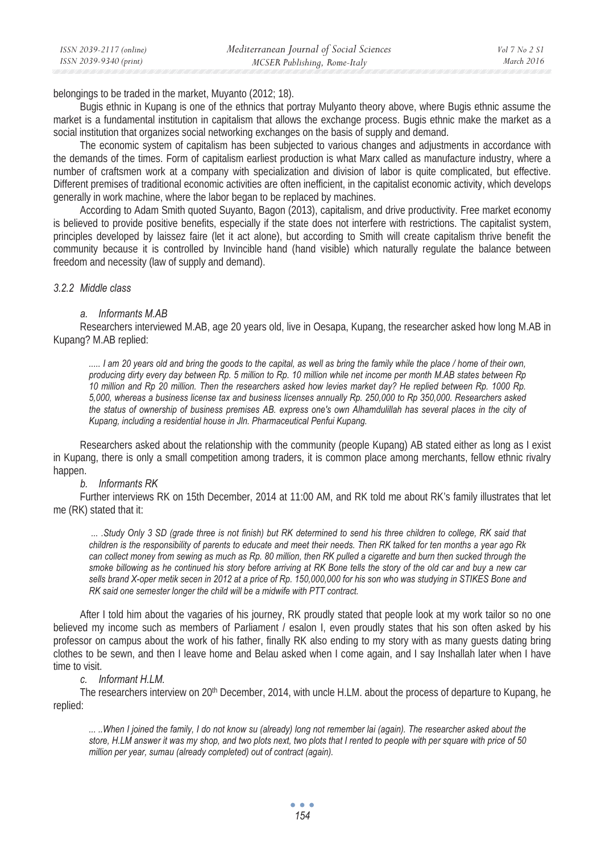belongings to be traded in the market, Muyanto (2012; 18).

Bugis ethnic in Kupang is one of the ethnics that portray Mulyanto theory above, where Bugis ethnic assume the market is a fundamental institution in capitalism that allows the exchange process. Bugis ethnic make the market as a social institution that organizes social networking exchanges on the basis of supply and demand.

The economic system of capitalism has been subjected to various changes and adjustments in accordance with the demands of the times. Form of capitalism earliest production is what Marx called as manufacture industry, where a number of craftsmen work at a company with specialization and division of labor is quite complicated, but effective. Different premises of traditional economic activities are often inefficient, in the capitalist economic activity, which develops generally in work machine, where the labor began to be replaced by machines.

According to Adam Smith quoted Suyanto, Bagon (2013), capitalism, and drive productivity. Free market economy is believed to provide positive benefits, especially if the state does not interfere with restrictions. The capitalist system, principles developed by laissez faire (let it act alone), but according to Smith will create capitalism thrive benefit the community because it is controlled by Invincible hand (hand visible) which naturally regulate the balance between freedom and necessity (law of supply and demand).

#### *3.2.2 Middle class*

#### *a. Informants M.AB*

Researchers interviewed M.AB, age 20 years old, live in Oesapa, Kupang, the researcher asked how long M.AB in Kupang? M.AB replied:

*..... I am 20 years old and bring the goods to the capital, as well as bring the family while the place / home of their own, producing dirty every day between Rp. 5 million to Rp. 10 million while net income per month M.AB states between Rp 10 million and Rp 20 million. Then the researchers asked how levies market day? He replied between Rp. 1000 Rp. 5,000, whereas a business license tax and business licenses annually Rp. 250,000 to Rp 350,000. Researchers asked the status of ownership of business premises AB. express one's own Alhamdulillah has several places in the city of Kupang, including a residential house in Jln. Pharmaceutical Penfui Kupang.* 

Researchers asked about the relationship with the community (people Kupang) AB stated either as long as I exist in Kupang, there is only a small competition among traders, it is common place among merchants, fellow ethnic rivalry happen.

#### *b. Informants RK*

Further interviews RK on 15th December, 2014 at 11:00 AM, and RK told me about RK's family illustrates that let me (RK) stated that it:

 *... .Study Only 3 SD (grade three is not finish) but RK determined to send his three children to college, RK said that children is the responsibility of parents to educate and meet their needs. Then RK talked for ten months a year ago Rk*  can collect money from sewing as much as Rp. 80 million, then RK pulled a cigarette and burn then sucked through the *smoke billowing as he continued his story before arriving at RK Bone tells the story of the old car and buy a new car sells brand X-oper metik secen in 2012 at a price of Rp. 150,000,000 for his son who was studying in STIKES Bone and RK said one semester longer the child will be a midwife with PTT contract.* 

After I told him about the vagaries of his journey, RK proudly stated that people look at my work tailor so no one believed my income such as members of Parliament / esalon I, even proudly states that his son often asked by his professor on campus about the work of his father, finally RK also ending to my story with as many guests dating bring clothes to be sewn, and then I leave home and Belau asked when I come again, and I say Inshallah later when I have time to visit.

#### *c. Informant H.LM.*

The researchers interview on 20<sup>th</sup> December, 2014, with uncle H.LM. about the process of departure to Kupang, he replied:

*... ..When I joined the family, I do not know su (already) long not remember lai (again). The researcher asked about the store, H.LM answer it was my shop, and two plots next, two plots that I rented to people with per square with price of 50 million per year, sumau (already completed) out of contract (again).*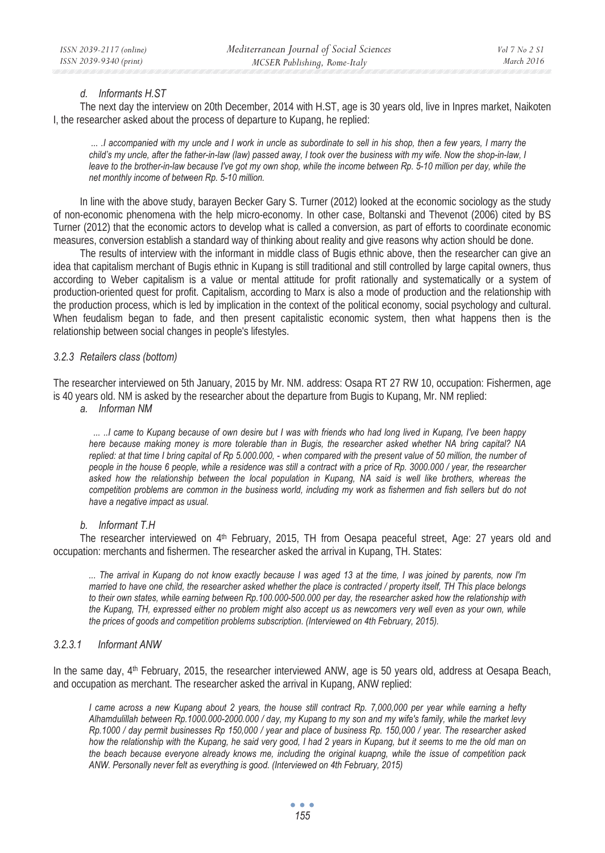#### *d. Informants H.ST*

The next day the interview on 20th December, 2014 with H.ST, age is 30 years old, live in Inpres market, Naikoten I, the researcher asked about the process of departure to Kupang, he replied:

 *... .I accompanied with my uncle and I work in uncle as subordinate to sell in his shop, then a few years, I marry the child's my uncle, after the father-in-law (law) passed away, I took over the business with my wife. Now the shop-in-law, I leave to the brother-in-law because I've got my own shop, while the income between Rp. 5-10 million per day, while the net monthly income of between Rp. 5-10 million.* 

In line with the above study, barayen Becker Gary S. Turner (2012) looked at the economic sociology as the study of non-economic phenomena with the help micro-economy. In other case, Boltanski and Thevenot (2006) cited by BS Turner (2012) that the economic actors to develop what is called a conversion, as part of efforts to coordinate economic measures, conversion establish a standard way of thinking about reality and give reasons why action should be done.

The results of interview with the informant in middle class of Bugis ethnic above, then the researcher can give an idea that capitalism merchant of Bugis ethnic in Kupang is still traditional and still controlled by large capital owners, thus according to Weber capitalism is a value or mental attitude for profit rationally and systematically or a system of production-oriented quest for profit. Capitalism, according to Marx is also a mode of production and the relationship with the production process, which is led by implication in the context of the political economy, social psychology and cultural. When feudalism began to fade, and then present capitalistic economic system, then what happens then is the relationship between social changes in people's lifestyles.

#### *3.2.3 Retailers class (bottom)*

The researcher interviewed on 5th January, 2015 by Mr. NM. address: Osapa RT 27 RW 10, occupation: Fishermen, age is 40 years old. NM is asked by the researcher about the departure from Bugis to Kupang, Mr. NM replied:

*a. Informan NM* 

 *... ..I came to Kupang because of own desire but I was with friends who had long lived in Kupang, I've been happy here because making money is more tolerable than in Bugis, the researcher asked whether NA bring capital? NA replied: at that time I bring capital of Rp 5.000.000, - when compared with the present value of 50 million, the number of people in the house 6 people, while a residence was still a contract with a price of Rp. 3000.000 / year, the researcher asked how the relationship between the local population in Kupang, NA said is well like brothers, whereas the competition problems are common in the business world, including my work as fishermen and fish sellers but do not have a negative impact as usual.* 

#### *b. Informant T.H*

The researcher interviewed on 4<sup>th</sup> February, 2015, TH from Oesapa peaceful street, Age: 27 years old and occupation: merchants and fishermen. The researcher asked the arrival in Kupang, TH. States:

*... The arrival in Kupang do not know exactly because I was aged 13 at the time, I was joined by parents, now I'm married to have one child, the researcher asked whether the place is contracted / property itself, TH This place belongs to their own states, while earning between Rp.100.000-500.000 per day, the researcher asked how the relationship with*  the Kupang, TH, expressed either no problem might also accept us as newcomers very well even as your own, while *the prices of goods and competition problems subscription. (Interviewed on 4th February, 2015).* 

## *3.2.3.1 Informant ANW*

In the same day, 4<sup>th</sup> February, 2015, the researcher interviewed ANW, age is 50 years old, address at Oesapa Beach. and occupation as merchant. The researcher asked the arrival in Kupang, ANW replied:

*I came across a new Kupang about 2 years, the house still contract Rp. 7,000,000 per year while earning a hefty Alhamdulillah between Rp.1000.000-2000.000 / day, my Kupang to my son and my wife's family, while the market levy Rp.1000 / day permit businesses Rp 150,000 / year and place of business Rp. 150,000 / year. The researcher asked how the relationship with the Kupang, he said very good, I had 2 years in Kupang, but it seems to me the old man on the beach because everyone already knows me, including the original kuapng, while the issue of competition pack ANW. Personally never felt as everything is good. (Interviewed on 4th February, 2015)* 

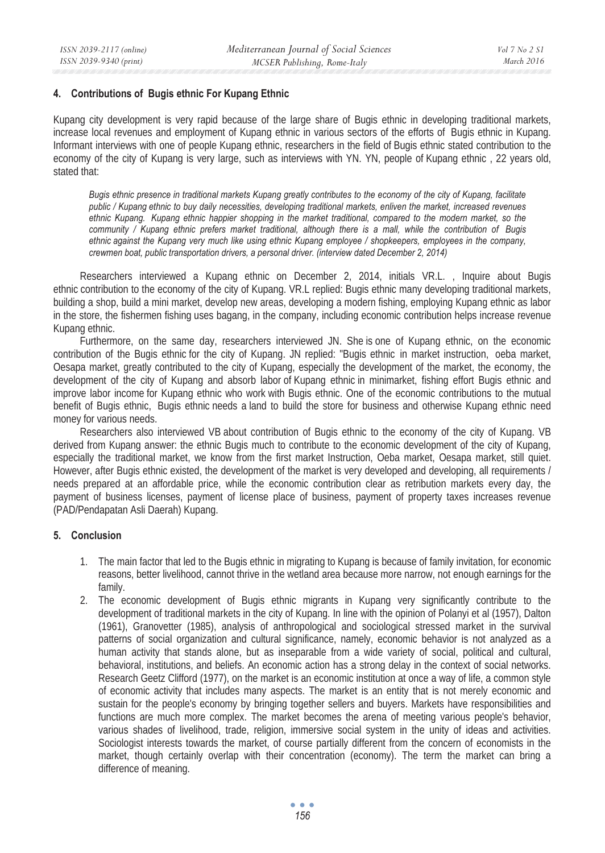## **4. Contributions of Bugis ethnic For Kupang Ethnic**

Kupang city development is very rapid because of the large share of Bugis ethnic in developing traditional markets, increase local revenues and employment of Kupang ethnic in various sectors of the efforts of Bugis ethnic in Kupang. Informant interviews with one of people Kupang ethnic, researchers in the field of Bugis ethnic stated contribution to the economy of the city of Kupang is very large, such as interviews with YN. YN, people of Kupang ethnic , 22 years old, stated that:

*Bugis ethnic presence in traditional markets Kupang greatly contributes to the economy of the city of Kupang, facilitate public / Kupang ethnic to buy daily necessities, developing traditional markets, enliven the market, increased revenues*  ethnic Kupang. Kupang ethnic happier shopping in the market traditional, compared to the modern market, so the *community / Kupang ethnic prefers market traditional, although there is a mall, while the contribution of Bugis ethnic against the Kupang very much like using ethnic Kupang employee / shopkeepers, employees in the company, crewmen boat, public transportation drivers, a personal driver. (interview dated December 2, 2014)* 

Researchers interviewed a Kupang ethnic on December 2, 2014, initials VR.L. , Inquire about Bugis ethnic contribution to the economy of the city of Kupang. VR.L replied: Bugis ethnic many developing traditional markets, building a shop, build a mini market, develop new areas, developing a modern fishing, employing Kupang ethnic as labor in the store, the fishermen fishing uses bagang, in the company, including economic contribution helps increase revenue Kupang ethnic.

Furthermore, on the same day, researchers interviewed JN. She is one of Kupang ethnic, on the economic contribution of the Bugis ethnic for the city of Kupang. JN replied: "Bugis ethnic in market instruction, oeba market, Oesapa market, greatly contributed to the city of Kupang, especially the development of the market, the economy, the development of the city of Kupang and absorb labor of Kupang ethnic in minimarket, fishing effort Bugis ethnic and improve labor income for Kupang ethnic who work with Bugis ethnic. One of the economic contributions to the mutual benefit of Bugis ethnic, Bugis ethnic needs a land to build the store for business and otherwise Kupang ethnic need money for various needs.

Researchers also interviewed VB about contribution of Bugis ethnic to the economy of the city of Kupang. VB derived from Kupang answer: the ethnic Bugis much to contribute to the economic development of the city of Kupang, especially the traditional market, we know from the first market Instruction, Oeba market, Oesapa market, still quiet. However, after Bugis ethnic existed, the development of the market is very developed and developing, all requirements / needs prepared at an affordable price, while the economic contribution clear as retribution markets every day, the payment of business licenses, payment of license place of business, payment of property taxes increases revenue (PAD/Pendapatan Asli Daerah) Kupang.

## **5. Conclusion**

- 1. The main factor that led to the Bugis ethnic in migrating to Kupang is because of family invitation, for economic reasons, better livelihood, cannot thrive in the wetland area because more narrow, not enough earnings for the family.
- 2. The economic development of Bugis ethnic migrants in Kupang very significantly contribute to the development of traditional markets in the city of Kupang. In line with the opinion of Polanyi et al (1957), Dalton (1961), Granovetter (1985), analysis of anthropological and sociological stressed market in the survival patterns of social organization and cultural significance, namely, economic behavior is not analyzed as a human activity that stands alone, but as inseparable from a wide variety of social, political and cultural, behavioral, institutions, and beliefs. An economic action has a strong delay in the context of social networks. Research Geetz Clifford (1977), on the market is an economic institution at once a way of life, a common style of economic activity that includes many aspects. The market is an entity that is not merely economic and sustain for the people's economy by bringing together sellers and buyers. Markets have responsibilities and functions are much more complex. The market becomes the arena of meeting various people's behavior, various shades of livelihood, trade, religion, immersive social system in the unity of ideas and activities. Sociologist interests towards the market, of course partially different from the concern of economists in the market, though certainly overlap with their concentration (economy). The term the market can bring a difference of meaning.